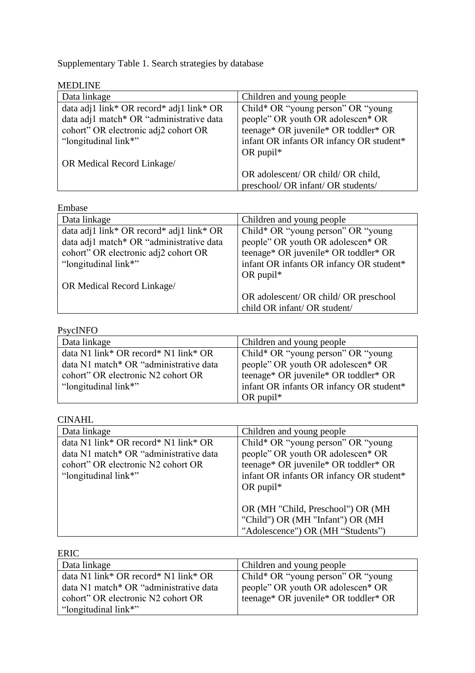Supplementary Table 1. Search strategies by database

| <b>MEDLINE</b>                           |                                          |
|------------------------------------------|------------------------------------------|
| Data linkage                             | Children and young people                |
| data adj1 link* OR record* adj1 link* OR | Child* OR "young person" OR "young       |
| data adj1 match* OR "administrative data | people" OR youth OR adolescen* OR        |
| cohort" OR electronic adj2 cohort OR     | teenage* OR juvenile* OR toddler* OR     |
| "longitudinal link*"                     | infant OR infants OR infancy OR student* |
|                                          | OR pupil $*$                             |
| OR Medical Record Linkage/               |                                          |
|                                          | OR adolescent/ OR child/ OR child,       |
|                                          | preschool/ OR infant/ OR students/       |

| Embase                                   |                                          |
|------------------------------------------|------------------------------------------|
| Data linkage                             | Children and young people                |
| data adj1 link* OR record* adj1 link* OR | Child* OR "young person" OR "young       |
| data adj1 match* OR "administrative data | people" OR youth OR adolescen* OR        |
| cohort" OR electronic adj2 cohort OR     | teenage* OR juvenile* OR toddler* OR     |
| "longitudinal link*"                     | infant OR infants OR infancy OR student* |
|                                          | OR pupil $*$                             |
| OR Medical Record Linkage/               |                                          |
|                                          | OR adolescent/ OR child/ OR preschool    |
|                                          | child OR infant/ OR student/             |

## PsycINFO

| Data linkage                           | Children and young people                |
|----------------------------------------|------------------------------------------|
| data N1 link* OR record* N1 link* OR   | Child* OR "young person" OR "young       |
| data N1 match* OR "administrative data | people" OR youth OR adolescen* OR        |
| cohort" OR electronic N2 cohort OR     | teenage* OR juvenile* OR toddler* OR     |
| "longitudinal link*"                   | infant OR infants OR infancy OR student* |
|                                        | OR pupil <sup>*</sup>                    |

| <b>CINAHL</b>                          |                                          |
|----------------------------------------|------------------------------------------|
| Data linkage                           | Children and young people                |
| data N1 link* OR record* N1 link* OR   | Child* OR "young person" OR "young       |
| data N1 match* OR "administrative data | people" OR youth OR adolescen* OR        |
| cohort" OR electronic N2 cohort OR     | teenage* OR juvenile* OR toddler* OR     |
| "longitudinal link*"                   | infant OR infants OR infancy OR student* |
|                                        | OR pupil $*$                             |
|                                        |                                          |
|                                        | OR (MH "Child, Preschool") OR (MH        |
|                                        | "Child") OR (MH "Infant") OR (MH         |
|                                        | "Adolescence") OR (MH "Students")        |

| ERIC                                   |                                      |
|----------------------------------------|--------------------------------------|
| Data linkage                           | Children and young people            |
| data N1 link* OR record* N1 link* OR   | Child* OR "young person" OR "young   |
| data N1 match* OR "administrative data | people" OR youth OR adolescen* OR    |
| cohort" OR electronic N2 cohort OR     | teenage* OR juvenile* OR toddler* OR |
| "longitudinal link*"                   |                                      |